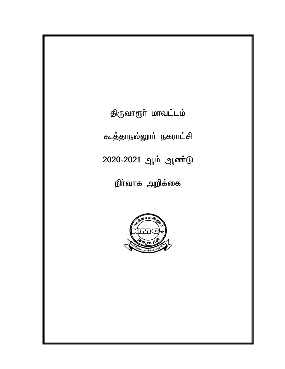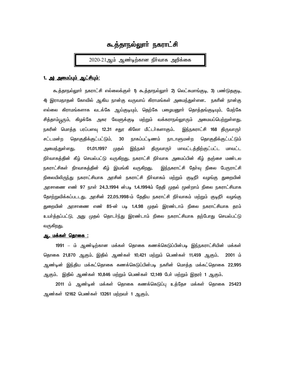# கூத்தாநல்லூர் நகராட்சி

 2020-21ஆம் ஆண்டிற்கான நிா்வாக அறிக்கை

#### 1. <u>அ) அமைப்பும் ஆட்சியும்:</u>

க<u>ூ. த்தாநல்லுாா் ந</u>கராட்சி எல்லைக்குள் 1) கூ<u>.த்தாநல்லுாா் 2)</u> லெட்சுமாங்குடி, 3) பண்டுதகுடி, 4) இராமநாதன் கோவில் ஆகிய நான்கு வருவாய் கிராமங்கள் அமைந்துள்ளன. நகரின் நான்கு எல்லை கிராமங்களாக வடக்கே ஆய்குடியும், தெற்கே பழையனுாா் தொத்தங்குடியும், மேற்கே சித்தாம்பூரும், கிழக்கே அகர வேளுக்குடி மற்றும் வக்கராநல்லூரும் அமையப்பெற்றுள்ளது**.** நகரின் மொத்த பரப்பளவு 12.31 சதுர கிலோ மீட்டா்களாகும். இந்நகராட்சி 168 திருவாரூா் சட்டமன்ற தொகுதிக்குட்பட்டும், 30 நாகப்பட்டிணம் நாடாளுமன்ற தொகுதிக்குட்பட்டும் அமைந்துள்ளது. 01.01.1997 முதல் இந்நகா் திருவாரூா் மாவட்டத்திற்குட்பட்ட மாவட்ட நிர்வாகத்தின் கீழ் செயல்பட்டு வருகிறது**.** நகராட்சி நிர்வாக அமைப்பின் கீழ் தஞ்சை மண்டல நகராட்சிகள் நிாவாகத்தின் கீழ் இயங்கி வருகிறது. இந்நகராட்சி தோவு நிலை பேரூராட்சி நிலையிலிருந்து நகராட்சியாக அரசின் நகராட்சி நிா்வாகம் மற்றும் குடிநீா் வழங்கு துறையின் அரசாணை எண் 97 நாள் 24.3.1994 ன்படி 1.4.1994ம் தேதி முதல் முன்றாம் நிலை நகராட்சியாக தோற்றுவிக்கப்படடது. அரசின் 22.05.1998-ம் தேதிய நகராட்சி நிா்வாகம் மற்றும் குடிநீா் வழங்கு ்துறையின் அரசாணை எண் 85-ன் படி **1.4.98** முதல் இரண்டாம் நிலை நகராட்சியாக தரம் உயா்த்தப்பட்டு, அது முதல் தொடா்ந்து இரண்டாம் நிலை நகராட்சியாக தற்போது செயல்பட்டு வருகிறது**.** 

## <u>ஆ. மக்கள் தொகை :</u>

1991 – ம் ஆண்டிற்கான மக்கள் தொகை கணக்கெடுப்பின்படி <u>இந்ந</u>கராட்சியின் மக்கள் தொகை 21,870 ஆகும். இதில் ஆண்கள் 10,421 மற்றும் பெண்கள் 11,459 ஆகும். 2001 ம் ஆண்டின் இந்திய மக்கட்தொகை கணக்கெடுப்பின்படி நகரின் மொத்த மக்கட்தொகை 22,995 ஆகும். இதில் ஆண்கள் 10,846 மற்றும் பெண்கள் 12,149 போ் மற்றும் இதரர் 1 ஆகும்.

 *2011 k; Mz;od; kf;fs; bjhif fzf;bfLg;g[ cj;Bjr kf;fs; bjhif 25423*  ஆண்கள் 12162 பெண்கள் 13261 மற்றவா் 1 ஆகும்**.**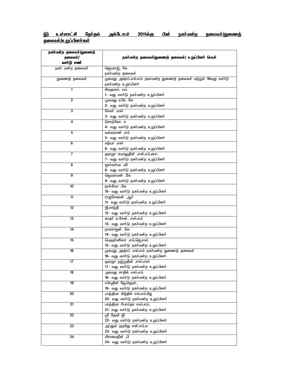# இ) உள்ளாட்சி தோ்தல் அக்டோபா் 2011க்கு பின் நகா்மன்ற தலைவா்/துணைத் <u>தலைவா்/உறுப்பினா்கள்</u>

| நகா்மன்ற தலைவா்/துணைத் |                                                                  |
|------------------------|------------------------------------------------------------------|
| தலைவா்/                | நகா்மன்ற தலைவா்/துணைத் தலைவா்/ உறுப்பினா் பெயா்                  |
| வாா்டு எண்             |                                                                  |
| நகா் மன்ற தலைவா்       | ஜெயராஜ். கே                                                      |
|                        | நகா்மன்ற தலைவா்                                                  |
| துணைத் தலைவா்          | முகமது அஷ்ரப்.எல்.எம் நகாமன்ற துணைத் தலைவா் மற்றும் 16வது வாா்டு |
|                        | நகா்மன்ற உறுப்பினா்                                              |
| $\blacksquare$         | சிவதாஸ். எம்                                                     |
|                        | 1- வது வாா்டு நகா்மன்ற உறுப்பினா்                                |
| $\mathbf{2}$           | முகமது ரபீக். கே                                                 |
|                        |                                                                  |
|                        | 2- வது வாா்டு நகா்மன்ற உறுப்பினா்                                |
| $\overline{3}$         | சேகா் .எஸ்                                                       |
|                        | 3- வது வாா்டு நகா்மன்ற உறுப்பினா்                                |
| 4                      | சொற்கோ. எ                                                        |
|                        | 4- வது வாா்டு நகா்மன்ற உறுப்பினா்                                |
| 5                      | வல்லரசன் .எம்                                                    |
|                        | 5- வது வாா்டு நகா்மன்ற உறுப்பினா்                                |
| 6                      | சத்யா எஸ்                                                        |
|                        | 6- வது வாா்டு நகா்மன்ற உறுப்பினா்                                |
| $\overline{7}$         | ஹாஜா கமாலுதீன் .என்.எம்.னஎ.                                      |
|                        | 7- வது வாா்டு நகா்மன்ற உறுப்பினா்                                |
| 8                      | ஐஸ்வா்யா .வி                                                     |
|                        | 8- வது வாா்டு நகா்மன்ற உறுப்பினா்                                |
| 9                      | தெயராமன் .கே                                                     |
|                        | 9- வது வாா்டு நகா்மன்ற உறுப்பினா்                                |
|                        |                                                                  |
| 10                     | நாச்சியா .கே                                                     |
|                        | 10- வது வாா்டு நகா்மன்ற உறுப்பினா்                               |
| 11                     | <del>ரா</del> ஜசேகரன் ஆர்                                        |
|                        | 11- வது வாா்டு நகா்மன்ற உறுப்பினா்                               |
| 12                     | <u>ஜி.சாந்தி</u>                                                 |
|                        | 12- வது வாா்டு நகா்மன்ற உறுப்பினா்                               |
| 13                     | காதா் உசேன். எஸ்.எம்                                             |
|                        | 13- வது வாா்டு நகா்மன்ற உறுப்பினா்                               |
| 14                     | நாகராஜன் .கே                                                     |
|                        | 14- வது வாா்டு நகா்மன்ற உறுப்பினா்                               |
| 15                     | மெஹா்னிஸா .எம்.ஜெ.எஸ்                                            |
|                        | 15- வது வாா்டு நகா்மன்ற உறுப்பினா்                               |
| 16                     | முகமது அஷ்ரப் .எல்.எம் நகா்மன்ற துணைத் தலைவா்                    |
|                        | 16- வது வாா்டு நகா்மன்ற உறுப்பினா்                               |
| 17                     | ஹாஜா நஜ்முதீன் .எஸ்.எஸ்                                          |
|                        | 17- வது வாா்டு நகா்மன்ற உறுப்பினா்                               |
|                        |                                                                  |
| 18                     | <u>அகமது சாதிக் எஸ்.எம்</u>                                      |
|                        | 18- வது வாா்டு நகா்மன்ற உறுப்பினா்                               |
| 19                     | ரபியுதீன் ஜே.ஹெச்.                                               |
|                        | 19- வது வாா்டு நகா்மன்ற உறுப்பினா்                               |
| 20                     | பாத்திமா சித்திக் எல்.எம்.ஜே                                     |
|                        | 20- வது வாா்டு நகா்மன்ற உறுப்பினா்                               |
| $\overline{21}$        | பாத்திமா ரிபாய்தா எஸ்.எம்.                                       |
|                        | 21- வது வாா்டு நகா்மன்ற உறுப்பினா்                               |
| $\overline{22}$        | ஸ்ரீ தேவி ஜி                                                     |
|                        | 22- வது வாா்டு நகா்மன்ற உறுப்பினா்                               |
| $\overline{23}$        | அப்துல் ஹமிது என்.எம்.ஏ                                          |
|                        | 23- வது வாா்டு நகா்மன்ற உறுப்பினா்                               |
| 24                     | மீராமைதீன் .பி                                                   |
|                        | 24- வது வாா்டு நகா்மன்ற உறுப்பினா்                               |
|                        |                                                                  |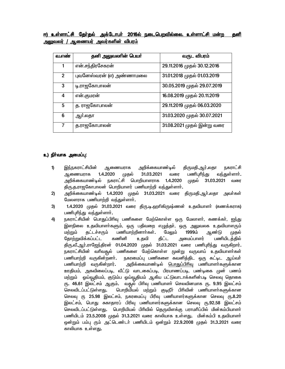<u>ஈ) உள்ளாட்சி தேர்தல் அக்டோபர் 2016ல் நடைபெறவில்லை. உள்ளாட்சி மன்ற தனி</u> அலுவலர் / ஆணையர் அவர்களின் விபரம்

| வ.எண்          | தனி அலுவலரின் பெயர்      | வருட விபரம்                 |
|----------------|--------------------------|-----------------------------|
|                | என்.சந்திரசேகரன்         | 29.11.2016 முதல் 30.12.2016 |
| $\overline{2}$ | புவனேஸ்வரன் (எ) அண்ணாமலை | 31.01.2018 முதல் 01.03.2019 |
| 3              | டி.ராஜகோபாலன்            | 30.05.2019 முதல் 29.07.2019 |
| 4              | என்.குமரன்               | 16.08.2019 முதல் 20.11.2019 |
| 5              | த. ராஜகோபாலன்            | 29.11.2019 முதல் 06.03.2020 |
| 6              | ஆர்.லதா                  | 31.03.2020 முதல் 30.07.2021 |
| $\overline{7}$ | த.ராஜகோபாலன்             | 31.08.2021 முதல் இன்று வரை  |

## *c)eph ;thf mikg;g[: thf mikg;g[:thf mikg;g[:*

- 1) <u>இந்ந</u>கராட்சியின் ஆணையராக அறிக்கையாண்டில் திருமதி,ஆர்,லதா நகராட்சி ஆணையராக 1.4.2020 முதல் 31.03.2021 வரை பணிபுரிந்து வந்துள்ளாா். *mwpf;ifahz;oy; efuhl;rp bghwpahsuhf 1.4.2020 Kjy; 31.03.2021 tiu*  திரு.த.ராஜகோபாலன் பொறியாளர் பணியாற்றி வந்துள்ளார்.
- 2) அறிக்கையாண்டில் 1.4.2020 முதல் 31.03.2021 வரை திருமதி.ஆா்.லதா அவா்கள் *Bkysuhf gzpahw;wp te;Js;shh;.*
- 3) 1.4.2020 முதல் 31.03.2021 வரை கிரு.டி.ஹாிகிருஷ்ணன் உதவியாளா் (கணக்கராக) பணிபுரிந்து வந்துள்ளார்.
- 4) நகராட்சியின் பொதுப்பிரிவு பணிகளை மேற்கொள்ள ஒரு மேலாளா், கணக்கா், ஐந்து இளநிலை உதவியாளா்களும், ஒரு பதிவறை எழுத்தா், ஒரு அலுவலக உதவியாளரும் மற்றும் தட்டச்சரும் பணியாற்றினாா்கள்**.** மேலும் 1999ம் ஆண்டு முதல்<br>தோற்றுவிக்கப்பட்ட கணினி உதவி திட்ட அமைப்பாளர் பணியிடக்கில் தோற்றுவிக்கப்பட்ட கணினி உதவி திட்ட அமைப்பாளர் பணியிடத்தில் திரு.வீ.ஆர்.ராஜேந்திரன் 01.04.2020 முதல் 31.03.2021 வரை பணிபுரிந்து வருகிறார்**.** நகராட்சியின் வரிவதூல் பணிகளை மேற்கொள்ள முன்று வருவாய் உதவியாளா்கள் பணியாற்றி வருகின்றனா்**.** நகரமைப்பு பணிகளை கவனித்திட ஒரு கட்டிட ஆய்வா் பணியாற்றி வருகின்றார். அறிக்கையாண்டில் பொதுப்பிரிவு பணியாளர்களுக்கான ஊதியம், அகவிலைப்படி, வீட்டு வாடகைப்படி, பிரயாணப்படி, பண்டிகை முன் பணம் மற்றும் ஒய்வூதியம், குடும்ப ஒய்வூதியம் ஆகிய பட்டுவாடாக்களின்படி செலவு தொகை ரு**. 46.61** இலட்சம் ஆகும். வதூல் பிரிவு பணியாளா் செலவினமாக ரு. 9.95 இலட்சம் செலவிடப்பட்டுள்ளது. பொறியியல் மற்றும் குடிநீா் பிாிவின் பணியாளா்களுக்கான செலவு ரு 25**.**98 இலட்சம், நகரமைப்பு பிரிவு பணியாளர்களுக்கான செலவு ரு**.8.2**0 இலட்சம், பொது சுகாதாரப் பிரிவு பணியாளர்களுக்கான செலவு ரூ.92.58 இலட்சம் செலவிடப்பட்டுள்ளது. மொறியியல் பிரிவில் தெருவிளக்கு பராமரிப்பில் மின்கம்பியாளா் பணியிடம் 23.5.2008 முதல் 31.3.2021 வரை காலியாக உள்ளது. மின்கம்பி உதவியாளர் ஒன்றும் பம்பு ரும் அட்டெண்டா் பணியிடம் ஒன்றும் 22.9.2008 முதல் 31.3.2021 வரை காலியாக உள்ளது**.**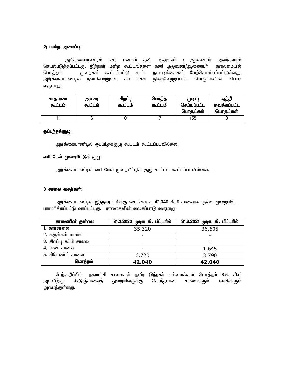## *2) kd;w mikg;g[: 2) kd;w mikg;g[:*

அறிக்கையாண்டில் நகர மன்றம் தனி அலுவலர் / ஆணையர் அவர்களால் *bray;gLj;jg;gl;lJ. ne;efh; kd;w Tl;lA;fis jdp mYtyu;/Mizau; jiyikapy; bkhj;jk; Kiwfs; Tl;lg;gl;L Tl;l eltof;iffs; Bkw;bfhs;sg;gl;Ls;sJ.*  அறிக்கையாண்டில் நடைபெற்றுள்ள கூட்டங்கள் நிறைவேற்றப்பட்ட பொருட்களின் விபரம் வருமாறு:

| சாதாரண<br>கூட்டம் | அவசர<br>கூட்டம் | சிறப்பு<br>கூடடம | மொத்த<br>கூட்டம் | முடிவு<br>செய்யப்பட்ட<br>பொருட்கள் | ஒத்தி<br>வைக்கப்பட்ட<br>பொருட்கள் |
|-------------------|-----------------|------------------|------------------|------------------------------------|-----------------------------------|
|                   |                 |                  |                  | 155                                |                                   |

## ஒப்பந்தக்குழு:

அறிக்கையாண்டில் ஒப்பந்தக்குழு கூட்டம் கூட்டப்படவில்லை.

## வரி மேல் முறையீட்டுக் குழு:

அறிக்்கையாண்டில் வரி மேல் முறையீட்டுக் குழு கூட்டம் கூட்டப்படவில்லை**.** 

#### *3 rhiy trjpfs;: rhiy trjpfs;:trjpfs;:*

அறிக்்கையாண்டில் இந்நகராட்சிக்கு சொந்தமாக 42.040 கி.மீ சாலைகள் நல்ல முறையில் பராமரிக்கப்பட்டு வரப்பட்டது. சாலைகளின் வகைப்பாடு வருமாறு:

| சாலையின் தன்மை           | 31.3.2020 முடிய கி. மீட்டரில் | 31.3.2021 முடிய கி. மீட்டரில் |
|--------------------------|-------------------------------|-------------------------------|
| 1. தாா்சாலை              | 35.320                        | 36.605                        |
| 2. கருங்கல் சாலை         |                               |                               |
| 3. சிவப்பு கப்பி சாலை    |                               |                               |
| $\overline{4.}$ மண் சாலை |                               | 1.645                         |
| 5. சிமெண்ட் சாலை         | 6.720                         | 3.790                         |
| மொத்தம்                  | 42.040                        | 42.040                        |

மேற்குறிப்பிட்ட நகராட்சி சாலைகள் தவிர இந்நகர் எல்லைக்குள் மொத்தம் 8**.5.** கி.மீ அளவிற்கு நெடுஞ்சாலைத் துறையினருக்கு சொந்தமான சாலைகளும், வசதிகளும் அமைந்துள்ளது.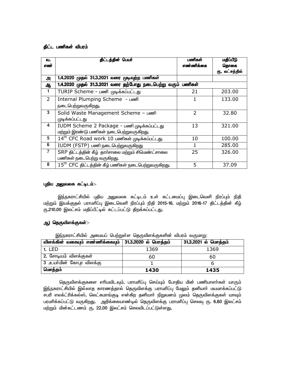## *தி*ட்ட பணிகள் விபரம்

| வ.<br>எண்      | திட்டத்தின் பெயர்                                               | பணிகள்<br>எண்ணிக்கை | மதிப்பீடு<br>தொகை |
|----------------|-----------------------------------------------------------------|---------------------|-------------------|
|                |                                                                 |                     | ரு. லட்சத்தில்    |
| அ              | 1.4.2020 முதல் 31.3.2021 வரை முடிவுற்ற பணிகள்                   |                     |                   |
| ஆ              | 1.4.2020 முதல் 31.3.2021 வரை தற்போது நடைபெற்று வரும் பணிகள்     |                     |                   |
| 1              | TURIP Scheme - பணி முடிக்கப்பட்டது                              | 21                  | 203.00            |
| $\overline{2}$ | Internal Plumping Scheme - Looff                                |                     | 133.00            |
|                | நடைபெற்றுவருகிறது.                                              |                     |                   |
| 3              | Solid Waste Management Scheme - Leonfl                          | 2                   | 32.80             |
|                | முடிக்கப்பட்டது                                                 |                     |                   |
| 4              | IUDM Scheme 2 Package - பணி முடிக்கப்பட்டது                     | 13                  | 321.00            |
|                | மற்றும் இரண்டு பணிகள் நடைபெற்றுவருகிறது.                        |                     |                   |
| 5              | 14 <sup>th</sup> CFC Road work 10 பணிகள் முடிக்கப்பட்டது.       | 10                  | 100.00            |
| 6              | IUDM (FSTP) பணி நடைபெற்றுவருகிறது                               | 1                   | 285.00            |
| $\overline{7}$ | SRP திட்டத்தின் கீழ் தார்சாலை மற்றும் சிமெண்ட்சாலை              | 25                  | 326.00            |
|                | பணிகள் நடைபெற்று வருகிறது.                                      |                     |                   |
| 8              | $15^{\text{th}}$ CFC திட்டத்தின் கீழ் பணிகள் நடைபெற்றுவருகிறது. | 5                   | 37.09             |

## *g[jpa mYtyf fl;olk;: mYtyf fl;olk;:-*

இந்நகராட்சியில் புதிய அலுவலக கட்டிடம் உள் கட்டமைப்பு இடைவெளி நிரப்பும் நிதி மற்றும் இயக்குதல் பராமரிப்பு இடைவெளி நிரப்பும் நிதி 2015-16, மற்றும் 2016-17 திட்டத்தின் கீழ் ரு.210.00 இலட்சம் மதிப்பீட்டில் கட்டப்பட்டு திறக்கப்பட்டது.

## *M) bjUtpsf;Ffs;:- bjUtpsf;Ffs;:-*

இந்நகராட்சியில் அமையப் பெற்றுள்ள தெருவிளக்குகளின் விபரம் வருமாறு:

| விளக்கின் வகையும் எண்ணிக்கையும் | 31.3.2020 ல் மொத்தம் | 31.3.2021 ல் மொத்தம் |
|---------------------------------|----------------------|----------------------|
| 1. LED                          | 1369                 | 1369                 |
| <b>2.</b> சோடியம் விளக்குகள்    | 60                   | 60                   |
| ் 3 .உயா்மின்  கோபுர  விளக்கு   |                      |                      |
| மொத்தம்                         | 1430                 | 1435                 |

தெருவிளக்குகளை எரியவிடவும், பராமரிப்பு செய்யும் போதிய மின் பணியாளர்கள் யாரும் இந்நகராட்சியில் இல்லாத காரணத்தால் தெருவிளக்கு பராமரிப்பு மேலும் தனியாா் மயமாக்கப்பட்டு சபரி எலக்ட்ரிக்கல்ஸ், லெட்சுமாங்குடி என்கிற தனியாா் நிறுவனம் முலம் தெருவிளக்குகள் யாவும் பரமரிக்கப்பட்டு வருகிறது**.** அறிக்கையாண்டில் தெருவிளக்கு பராமரிப்பு செலவு ர<mark>ு. 6.60</mark> இலட்சம் மற்றும் மின்கட்டணம் ரு. 22.00 இலட்சம் செலவிடப்பட்டுள்ளது.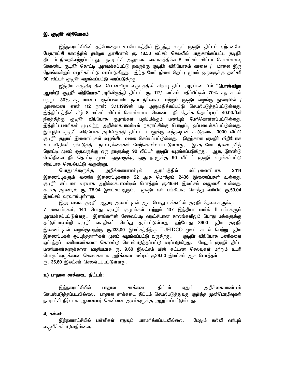## *n. FoePh; tpepBahfk; FoePh; tpepBahfk;*

இந்நகராட்சியின் தற்போதைய உபயோகத்தில் இருந்து வரும் குடிநீா் திட்டம் ஏற்கனவே பேருராட்சி காலத்தில் தமிழக அரசினால் ரு**. 18.50 லட்சம் செலவில் பாதுகாக்கப்பட்**ட குடிநீா் திட்டம் நிறைவேற்றப்பட்டது. நகராட்சி <u>அலு</u>வலக வளாகத்திலே 5 லட்சம் லிட்டா் கொள்ளளவு கொண்ட குடிநீா் தொட்டி அமைக்கப்பட்டு நகருக்கு குடிநீா் விநியோகம் காலை / மாலை இரு நேரங்களிலும் வழங்கப்பட்டு வரப்படுகிறது. இந்த மேல் நிலை தெட்டி முலம் ஒருவருக்கு தனிசரி 90 லிட்டர் குடிநீர் வழங்கப்பட்டு வரப்படுகி<u>றது</u>.

இந்திய சுதந்திர தின பொன்விழா வருடத்தின் சிறப்பு திட்ட அடிப்படையில் "**பொன்விழா** <mark>ஆண்டு குடிநீா் விநியோக</mark>" அபிவிருத்தி திட்டம் ரு. 117/- லட்சம் மதிப்பீட்டில் 70% சத கடன் மற்றும் 30% சத மான்ய அடிப்படையில் நகா் நிா்வாகம் மற்றும் குடிநீா் வழங்கு துறையின் / அரசாணை எண் 112 நாள்: 3**.11.1999ன் படி அனுமதிக்கப்பட்டு செயல்படுத்த**ப்பட்டுள்ளது**.** இத்திட்டத்தின் கீழ் 8 லட்சம் லிட்டர் கொள்ளளவு கொண்ட நீர் தேக்க தொட்டியும் 40**.**04கி,மீ நீளத்திற்கு குடிநீா் விநியோக குழாய்கள் பதிப்பிக்கும் பணியும் மேற்கொள்ளப்பட்டுள்ளது**.** இத்திட்டபணிகள் முடிவுற்று அறிக்கையாண்டில் நகராட்சிக்கு பொறுப்பு ஒப்படைக்கப்பட்டுள்ளது**.** இப்புதிய குடிநீா விநியோக அபிவிருத்தி திட்டம் பயனுக்கு வந்தவுடன் கூடுதலாக 3000 வீட்டு குடிநீா் குழாய் இணைப்புகள் வழங்கிட வகை செய்யப்பட்டுள்ளது. இதற்கான குடீநிா் விநியோக உப விதிகள் ஏற்படுத்திட நடவடிக்கைகள் மேற்கொள்ளப்பட்டுள்ளது**.** இந்த மேல் நிலை நீர்த் தொட்டி மூலம் ஒருவருக்கு ஒரு நாளுக்கு 90 லிட்டா் குடிநீா் வழங்கப்படுகிறது**.** ஆக, இரண்டு மேல்நிலை நீா் தொட்டி முலம் ஒருவருக்கு ஒரு நாளுக்கு 90 லிட்டா் குடிநீா் வழங்கப்பட்டு சிறப்பாக செயல்பட்டு வருகிறது**.** 

*bghJkf;fSf;F mwpf;ifahz;oy; Muk;gj;jpy; tPl;oizg;ghf 2414*  இணைப்புகளும் வணிக இணைப்புகளாக 22 ஆக மொத்தம் 2436 இணைப்புகள் உள்ளது**.** குடிநீா் கட்டண வரவாக அறிக்கையாண்டில் மொத்தம் ரூ.46.64 இலட்சம் வசூலாகி உள்ளது**.** *fle;j Mz;oy; \. 78.94 nyl;rk;MFk;. FOePh; thp gA;fPlhf brhj;J thpapy; \.59.04*  இலட்சம் வரவாகியுள்ள<u>த</u>ு.

இதர வகை குடிநீா் ஆதார அமைப்புகள் ஆக பொது மக்களின் குடிநீா் தேவைகளுக்கு 7 கைபம்புகள், 144 பொது குடிநீா் குழாய்கள் மற்றும் 137 இந்தியா மாா்க் ll பம்புகளும் அமைக்கப்பட்டுள்ளது. இனங்களின் சேவைப்படி வறட்சியான காலங்களிலும் பொது மக்களுக்கு தட்டுப்பாடின்றி குடிநீா் வசதிகள் செய்து தரப்பட்டுள்ளது. தற்போது 3900 புதிய குடிநீ<del>ர்</del> இணைப்புகள் வழங்குவதற்கு ரு.133.00 இலட்சத்திற்கு TUFIDCO மூலம் கடன் பெற்று புதிய இணைப்பகுள் ஒப்பந்ததாரர்கள் மூலம் வழங்கப்பட்டு வருகிறது**.** குடிநீா் விநியோக பணிகளை ஒப்பந்தப் பணியாளா்களை கொண்டு செயல்படுத்தப்பட்டு வரப்படுகிறது**.** மேலும் குடிநீா் திட்ட பணியாளா்களுக்கான ஊதியமாக ர<mark>ு. 9.60</mark> இலட்சம் மின் கட்டண செலவுகள் மற்றும் உபரி பொருட்களுக்கான செலவுகளாக அறிக்கையாண்டில் ரு26.00 இலட்சம் ஆக மொத்தம் ரு. 35.60 இலட்சம் செலவிடப்பட்டுள்ளது.

#### *c) ghjhs rhf;fil jpl;lk;: ghjhs rhf;fil*

இந்நகராட்சியில் பாதாள சாக்கடை திட்டம் ஏதும் அறிக்கையாண்டில் செயல்படுத்தப்படவில்லை. பாதாள சாக்கடை திட்டம் செயல்படுத்துவது குறித்த முன்மொழிவுகள் நகராட்சி நிர்வாக ஆணையர் சென்னை அவா்களுக்கு <u>அன</u>ுப்பப்பட்டுள்ளது**.** 

### **4. கல்வி:-**

இந்நகராட்சியில் பள்ளிகள் எதுவும் பராமரிக்கப்படவில்லை**.** மேலும் கல்வி வரியும் வதூலிக்கப்படுவதில்லை.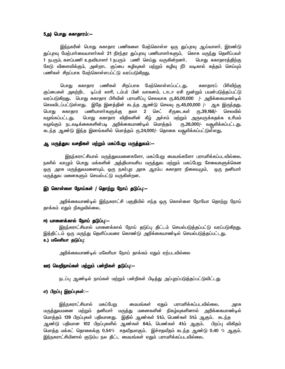## *5m) bghJ Rfhjhuk;: 5m) bghJ Rfhjhuk;:--*

இந்நகரின் பொது சுகாதார பணிகளை மேற்கொள்ள ஒரு துப்புரவு ஆய்வாளா், இரண்டு துப்புரவு மேற்பாா்வையாளா்கள் 21 நிரந்தர துப்புரவு பணியாளா்களும், கொசு மருந்து தெளிப்பவா் 1 நபரும், களப்பணி உதவியாளர் 1 நபரும் பணி செய்து வருகின்றனர். பொது சுகாதாரத்திற்கு கேடு விளைவிக்கும், அன்றாட குப்பை கழிவுகள் மற்றும் கழிவு நீா் வடிகால் சுத்தம் செய்யும் பணிகள் சிறப்பாக மேற்கொள்ளபப்ட்டு வரப்படுகி<u>றத</u>ு**.** 

பொது சுகாதார பணிகள் சிறப்பாக மேற்கொள்ளப்பட்டது**.** சுகாதாரப் பிரிவிற்கு குப்பைகள் அகற்றிட டிப்பர் லாாி, டம்பர் பின் வாகனம், டாடா ஏசி முன்றும் பயன்படுத்தப்பட்டு வரப்படுகிறது. பொது சுகாதார பிரிவின் பராமரிப்பு செலவாக ரூ.65,00,000 /- அறிக்கையாண்டில் செலவிடப்பட்டுள்ளது. இதே இனத்தின் கடந்த ஆண்டு செலவு ரூ.45,00,000 /- ஆக இருந்தது. பொது சுகாதார பணியாளா்களுக்கு தலா 2 செட் சீருடைகள் ரூ.39,168/- செலவில் வழங்கப்பட்டது**.** பொது சுகாதார விதிகளின் கீழ் அச்சம் மற்றும் அருவருக்கதக்க உரிமம் வழங்கும் நடவடிக்கைகளின்படி அறிக்கையாண்டில் மொத்தம் ரூ.26,000/- வகூலிக்கப்பட்டது**.** *fle;j Mz;L ne;j ndA;fspy; bkhj;jk; \.24,000/- bjhif tR{ypf;fg;gl;Ls;sJ.* 

## <u>ஆ மருத்துவ வசதிகள் மற்றும் மகப்பேறு மருத்துவம்:--</u>

<u>இநந்</u>கராட்சியால் மருத்துவமனைகளோ, மகப்பேறு மையங்களோ பராமரிக்கப்படவில்லை. நகரில் வாழும் பொது மக்களின் அத்தியாவசிய மருத்துவ மற்றும் மகப்பேறு சேவைகளுக்கென ஒரு அரசு மருத்துவமனையும், ஒரு நகர்புற அரசு ஆரம்ப சுகாதார நிலையமும், ஒரு தனியாா் மருத்துவ மனைகளும் செயல்பட்டு வருகின்றன**.** 

#### *n) bfhs;is Beha;fs; / bjhw;W Beha; jLg;g[: bjhw;W Beha; jLg;g[:--*

அறிக்கையாண்டில் இந்நகராட்சி பகுதியில் எந்த ஒரு கொள்ளை நோயோ தொற்று நோய் தாக்கம் ஏதும் நிகழவில்லை.

### *N) ahidf;fhy; Beha; jLg;g[:-- N) ahidf;fhy; jLg;g[:--*

இநந்கராட்சியால் யானைக்கால் நோய் தடுப்பு திட்டம் செயல்படுத்தப்பட்டு வரப்படுகி<u>றது</u>. இத்திட்டம் ஒரு மருந்து தெளிப்பவரை கொண்டு அறிக்கையாண்டில் செயல்படுத்தப்பட்டது**. உ) மலேரியா தடுப்பு:** 

அறிக்கையாண்டில் மலேரியா நோய் தாக்கம் ஏதும் ஏற்படவில்லை

### *C) btwpeha;fs; kw;Wk; gd;wpfs; jLg;g[:-- C) btwpeha;fs; kw;Wk; jLg;g[:--*

நடப்பு ஆண்டில் நாய்கள் மற்றும் பன்றிகள் பிடித்து அப்புறப்படுத்தப்பட்டுவிட்டது

## *v) gpwg;g[ nwg;g[fs;:-- nwg;g[fs;:--*

<u>இந்ந</u>கராட்சியால் மகப்பேறு மையங்கள் ஏதும் பராமரிக்கப்படவில்லை**.** அரசு மரு<mark>த்து</mark>வமனை மற்றும் தனியாா் மருத்து மனைகளின் நிகழ்வுகளினால் அறிக்கையாண்டில் மொத்தம் 139 பிறப்புகள் பதிவானது. இதில் ஆண்கள் 51ம், பெண்கள் 51ம் ஆகும். கடந்த ஆண்டு பதிவான 102 பிறப்புகளில் ஆண்கள் 64ம், பெண்கள் 41ம் ஆகும். பிறப்பு விகிதம் *bkhj;j kf;fl; bjhiff;F 0.54*% *rjtPjkhFk;. nr;rjtPjk; fle;j Mz;L 0.40* % *MFk;.*  இந்நகராட்சியினால் குடும்ப நல திட்ட மையங்கள் ஏதும் பராமரிக்கப்படவில்லை**.**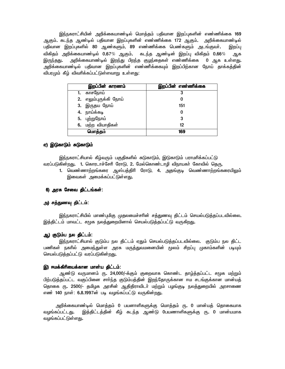*ne;efuhl;rpapd; mwpf;ifahz;oy; bkhj;jk; gjpthd nwg;g[fspd; vz;zpf;if 169*  ஆகும். கடந்த ஆண்டில் பதிவான இறப்புகளின் எண்ணிக்கை 172 ஆகும். அறிக்கையாண்டில் பதிவான இறப்புகளில் 80 ஆண்களும், 89 எண்ணிக்கை பெண்களும் அடங்குவா்**.** இறப்பு *tpfpjk; mwpf;ifahz;oy; 0.67*% *MFk;. fle;j Mz;od; nwg;g[ tpfpjk; 0.66*% *Mf*  இருந்தது. அறிக்கையாண்டில் இறந்து பிறந்த குழந்தைகள் எண்ணிக்கை 0 ஆக உள்ளது**.** அறிக்கையாண்டில் பதிவான இறப்புகளின் எண்ணிக்கையும் இறப்பிற்கான நோய் தாக்கத்தின் விபரமும் கீழ் விவரிக்கப்பட்டுள்ளவாறு உள்ளது:

| இறப்பின் காரணம்       | இறப்பின் எண்ணிக்கை |
|-----------------------|--------------------|
| 1. காசநோய்            |                    |
| 2. எலும்புருக்கி நோய் |                    |
| 3. இருதய நோய்         | 151                |
| 4. நாய்க்கடி          |                    |
| 5. புற்றுநோய்         | 3                  |
| 6. மற்ற வியாதிகள்     | 12                 |
| மொத்தம்               | 169                |

### ஏ) இடுகாடும் சுடுகாடும்

இந்நகராட்சியால் கீழ்வரும் பகுதிகளில் சுடுகாடும், இடுகாடும் பராமரிக்கப்பட்டு வரப்படுகின்றது. 1. கொரடாச்சேரி ரோடு, 2. மேல்கொண்டாழி விநாயகா் கோவில் தெரு,

1. வெண்ணாற்றங்கரை ஆஸ்பத்திரி ரோடு, 4. <u>அதங்குடி</u> வெண்ணாற்றங்கரையிலும் இவைகள் அமைக்கப்பட்டுள்ளது.

## 6) அரசு சேவை திட்டங்கள்:

## அ) சத்துணவு திட்டம்:

இந்நகராட்சியில் மாண்புமிகு முதலமைச்சரின் சத்துணவு திட்டம் செயல்படுத்தப்படவில்லை. இத்திட்டம் மாவட்ட சமுக நலத்துறையினால் செயல்படுத்தப்பட்டு வருகிறது**.** 

#### ஆ) குடும்ப நல திட்டம்:

இந்நகராட்சியால் குடும்ப நல திட்டம் ஏதும் செயல்படுத்தப்படவில்லை. குடும்ப நல திட்ட பணிகள் நகரில் அமை<u>ந்து</u>ள்ள அரசு மருத்துவமனையின் முலம் சிறப்பு முகாம்களின் படியும் செயல்படுத்தப்பட்டு வரப்படுகின்றது.

#### *n) Nkf;fphpiaf;fhd khd;a jpl;lk;: Nkf;fphpiaf;fhd khd;a*

ஆண்டு வருமானம் ரூ. 24,000/-க்கும் குறைவாக கொண்ட தாழ்த்தப்பட்ட சமுக மற்றும் பிற்படுத்தப்பட்ட வகுப்பினை சாா்ந்த குடும்பத்தின் இறந்தோருக்கான ஈம சடங்குக்கான மான்யத் தொகை ரூ. 2500/- தமிழக அரசின் ஆதிதிராவிடா் மற்றும் பழங்குடி நலத்துறையில் அரசாணை எண் 140 நாள்: 6**.8.1997ன் படி வழங்கப்பட்டு வருகின்றது**.

அறிக்கையாண்டில் மொத்தம் 0 பயனாளிகளுக்கு மொத்தம் ர<mark>ூ. 0 மான்யத் தொகையாக</mark> வழங்கப்பட்டது. இத்திட்டத்தின் கீழ் கடந்த ஆண்டு 0பயணாளிகளுக்கு ரு. 0 மான்யமாக வழங்கப்பட்டுள்ள<u>த</u>ு.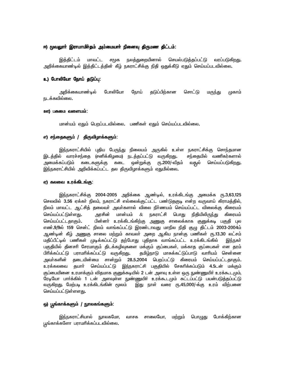#### *N) }tYhh; nuhkhkph;jk; mk;ikahh; epidt[ jpUkz jpl;lk N) }tYhh; nuhkhkph;jk; mk;ikahh; epidt[ jpUkz jpl;lk;: jpUkz jpl;lk;:*

இத்திட்டம் மாவட்ட சமுக நலத்துறையினால் செயல்படுத்தப்பட்டு வரப்படுகி<u>றது</u>. அறிக்கையாண்டில் இத்திட்டத்தின் கீழ் நகராட்சிக்கு நிதி ஒதுக்கீடு ஏதும் செய்யப்படவில்லை**.** 

### **உ) போலியோ நோய் தடுப்பு:**

அறிக்்கையாண்டில் போலியோ நோய் தடுப்பிற்கான சொட்டு மரு<u>ந்து</u> முகாம் நடக்கவில்லை.

#### **ஊ) பசுமை வளையம்:**

 *khd;ak; VJk; bgwg;gltpy;iy. gzpfs; VJk; bra;ag;gltpy;iy.* 

## *v) re;ijfSk; / jpUtpHhf;fSk;: / ) jpUtpHhf;fSk;:*

<u>இந்ந</u>கராட்சியில் புதிய பேருந்து நிலையம் அருகில் உள்ள நகராட்சிக்கு சொந்தமான இடத்தில் வாரச்சந்தை (சனிக்கிழமை) நடத்தப்பட்டு வருகிறது**.** சந்தையில் வணிகர்களால் அமைக்கப்படும் கடைகளுக்கு கடை ஒன்றுக்கு ரூ.200/-வீதம் வசூல் செய்யப்படுகி<u>றது</u>. இந்நகராட்சியில் அறிவிக்கப்பட்ட தல திருவிழாக்களும் ஏதுமில்லை**.** 

#### *V) fyit cuf;fplA;F: fyit cuf;fplA;F: fyit cuf;fplA;F:*

இந்நகராட்சிக்கு 2004-2005 அறிக்கை ஆண்டில், உரக்கிடங்கு அமைக்க ர<mark>ூ.3,63,125</mark> செலவில் 3**.56 ஏக்கா் நிலம், நகராட்சி எல்லைக்குட்பட்**ட பண்டுதகுடி என்ற வருவாய் கிராமத்தில், நிலம் மாவட்ட ஆட்சித் தலைவா் அவா்களால் விலை நிா்ணயம் செய்யப்பட்ட விலைக்கு கிரையம் *bra;ag;gl;Ls;sJ. murpd; khd;ak;* & *efuhl;rp bghJ epjpapypUe;J fpiuak;*  செய்யப்பட்டதாகும்**.** பின்னா் உரக்கிடங்கிற்கு அணுகு சாலைக்காக குனுக்கடி பகுதி புல எண்.9/9ல் 159 சென்ட் நிலம் வாங்கப்பட்டு இரண்டாவது மாநில நிதி குழு திட்டம் 2003-2004ம் ஆண்டின் கீழ் <u>அணுகு</u> சாலை மற்றும் காவலா் அறை ஆகிய நான்கு பணிகள் ரூ**.13.30 லட்சம்** மதிப்பீட்டில் பணிகள் முடிக்கப்பட்டு தற்போது புதிதாக வாங்கப்பட்ட உரக்கிடங்கில் இந்நகா் பகுதியில் தினசாி சேரமாகும் திடக்கழிவுகளை மக்கும் குப்பைகள், மக்காத குப்பைகள் என தரம் பிரிக்கப்பட்டு பராமரிக்கப்பட்டு வருகிறது. தமிழ்நாடு மாசுக்கட்டுப்பாடு வாரியம் சென்னை அவா்களின் தடையின்மை சான்றும் 28**.5.2004 பெறப்பட்டு கிரையம் செய்யப்பட்ட**தாகும். <u>உர</u>க்கலவை தயாா் செய்யப்பட்டு <u>இந்ந</u>கராட்சி பகுதியில் சேகரிக்கப்படும் 4.5டன் மக்கும் குப்பையினை உரமாக்கும் விதமாக குனுக்கடியில் 2 டன் அளவு உள்ள ஒரு நுண்ணுயிர் உரக்கூடமும். ரேடியோ பாா்க்கில் 1 டன் அளவுள்ள நுண்ணுயிா் உரக்கூடமும் கட்டப்பட்டு பயன்படுத்தப்பட்டு வருகிறது. மேற்படி உரக்கிடங்கின் மூலம் இது நாள் வரை ர<mark>ூ.45,000/-க்கு உரம்</mark> விற்பனை செய்யப்பட்டுள்ளளது**.** 

#### *x) g{A;fhf;fSk; / EhyfA;fSk;: / EhyfA;fSk;:*

இந்நகராட்சியால் நூலகமோ, வாசக சாலையோ, மற்றும் பொழுது போக்கிற்கான பூங்காக்களோ பராமரிக்கப்படவில்லை**.**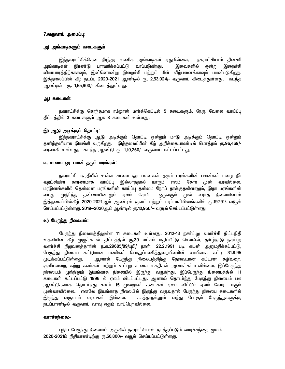#### *7.tUtha; mikg;g[: mikg;g[:*

#### <mark>அ) அங்காடிகளும் கடைகளும்</mark>:

<u>இந்ந</u>கராட்சிக்கென நிரந்தர வணிக அங்காடிகள் ஏதுமில்லை. நகராட்சியால் தினசரி அங்காடிகள் இரண்டு பராமரிக்கப்பட்டு வரப்படுகிறது. இவைகளில் ஒன்று இறைச்சி வியாபாரத்திற்காகவும், இன்னொன்று இறைச்சி மற்றும் மீன் விற்பனைக்காவும் பயன்படுகி<u>றது</u>**.** இத்தலைப்பின் கீழ் நடப்பு 2020-2021 ஆண்டில் ரு. 2,53,024/- வருவாய் கிடைத்துள்ளது. கடந்த ஆண்டில் ரு**. 1,65,900/- கிடைக்குள்ளது.** 

## *M) filfs;: filfs;:*

நகராட்சிக்கு சொந்தமாக ரம்ஜான் மாா்க்கெட்டில் 5 கடைகளும், நேரு வேலை வாய்ப்பு திட்டத்தில் 3 கடைகளும் ஆக 8 கடைகள் உள்ள<u>து</u>.

#### *n) ML mof;Fk; bjhl;o: mof;Fk; bjhl;o:*

இந்நகராட்சிக்கு ஆடு அடிக்கும் தொட்டி ஒன்றும் மாடு அடிக்கும் தொட்டி ஒன்றும் தனித்தனியாக இயங்கி வருகிறது**.** இத்தலைப்பின் கீழ் அறிக்கையாண்டில் மொத்தம் ரு.96,469/-வரவாகி உள்ளது. கடந்த ஆண்டு ரு. 1,10,250/- வருவாய் ஈட்டப்பட்ட<u>து</u>.

#### *N. rhiy xu gyd; jUk; kuA;fs;: N. rhiy gyd; jUk; kuA;fs;:*

நகராட்சி பகுதியில் உள்ள சாலை ஓர பலனகள் தரும் மரங்களின் பலன்கள் மழை நீா் வறட்சியின் காரணமாக காய்ப்பு இல்லாததால் யாரும் ஏலம் கோர முன் வரவில்லை**.** மரஇனங்களில் தென்னை மரங்களின் காய்ப்பு தன்மை நோய் தாக்குதலினாலும், இதர மரங்களின் வயது முதிா்ந்த தன்மையினாலும் ஏலம் கோாிட ஒருவரும் முன் வராத நிலையினால் இத்தலைப்பின்கீழ் 2020-2021ஆம் ஆண்டில் குளம் மற்றும் மரப்பாசியினங்களில் ரூ.19791/- வசூல் செய்யப்பட்டுள்ளது. 2019-2020ஆம் ஆண்டில் ரூ.10,950/- வசூல் செய்யப்பட்டுள்ளது.

## **உ) பேருந்து நிலையம்:**

பேருந்து நிலையத்திலுள்ள 11 கடைகள் உள்ளது. 2012-13 நகர்ப்புற வளர்ச்சி திட்டநிதி உதவியின் கீழ் முழுக்கடன் திட்டத்தில் ர<mark>ு,30</mark> லட்சம் மதிப்பீட்டு செலவில், தமிழ்நாடு நகா்புற வளர்ச்சி நிறுவனத்தாரின் ந**.**க.29685/89/யுபி/ நாள்: 22**.2.1991 படி கடன் அனுமதிக்கப்பட்டு**, பேருந்து நிலைய கட்டுமான பணிகள் பொதுப்பணித்துறையினரின் வாயிலாக கட்டி 31.8.95 <sup>.</sup> *Kof;fg;gl;Ls;sJ. Mdhy; BgUe;J epiyaj;jpw;F Bjitahd fl;lz fHptiw,*  குளியலறை, சுற்று சுவா்கள் மற்றும் உட்புற சாலை வசதிகள் அமைக்கப்படவில்லை. இப்பேருந்து நிலையம் முற்றிலும் இயங்காத நிலையில் இருந்து வருகிறது**.** இப்பேருந்து நிலையத்தில் 11 கடைகள் கட்டப்பட்டு 1996 ல் ஏலம் விடப்பட்டது. ஆனால் தொடா்ந்து பேருந்து நிலையம் பல ஆண்டுகளாக தொடர்ந்து சுமார் 15 முறைகள் கடைகள் ஏலம் விட்டும் ஏலம் கோர யாரும் முன்வரவில்லை. எனவே இயங்காத நிலையில் இருந்து வருவதால் பேருந்து நிலைய கடைகளில் இருந்து வருவாய் வரவுகள் இல்லை. கூத்தாநல்லுாா் வந்து போகும் பேருந்துகளுக்கு நடப்பாண்டில் வருவாய் வரவு ஏதும் வரப்பெறவில்லை.

#### <u>்வாரச்சந்தை: -</u>

புதிய பேருந்து நிலையம் அருகில் நகராட்சியால் நடத்தப்படும் வாரச்சந்தை மூலம் 2020-2021ம் நிதியாண்டிற்கு ரூ.56,800/- வதூல் செய்யப்பட்டுள்ளது.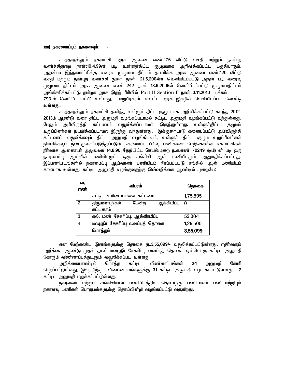#### <u>ஊ)</u> நகரமைப்பும் நகரளவும்:

கூத்தாநல்லுாா் நகராட்சி அரசு ஆணை எண்:176 வீட்டு வசதி மற்றும் நகா்புற வளா்ச்சிதுறை நாள்:19**.4.99ன் படி உள்ளுா்திட்ட குழுமமாக அறிவிக்கப்பட்ட** பகுதியாகும்**.** அதன்படி இந்நகராட்சிக்கு வரைவு முழுமை திட்டம் தயாரிக்க அரசு ஆணை எண்:120 வீட்டு வசதி மற்றும் நகா்புற வளா்ச்சி துறை நாள்: 21.5.2004ன் வெளியிடப்பட்டு அதன் படி வரைவு முழுமை திட்டம் அரசு ஆணை எண் 242 நாள் 18.9.2006ல் வெளியிடப்பட்டு முழுமைதிட்டம் அங்கீகாிக்கப்பட்டு தமிழக அரசு இதழ் பிாிவில் Part II Section II நாள் **3.11.2010** பக்கம் 793-ல் வெளியிடப்பட்டு உள்ளது. மறுபிரசுரம் மாவட்ட அரசு இதழில் வெளியிடப்பட வேண்டி உள்ளது**.** 

 *Tj;jhey;Yhh; efuhl;rp jdpj;j cs;Sh; jpl;l FGkkhf mwptpf;fg;gl;L fle;j 2012-* 2013ம் ஆண்டு வரை திட்ட அனுமதி வழங்கப்படாமல் கட்டிட அனுமதி வழங்கப்பட்டு வந்துள்ளது**.** மேலும் அபிவிருத்தி கட்டணம் வதூலிக்கப்படாமல் இருந்துள்ளது**.** உள்ளுா்திட்ட குழுமம் உறுப்பினா்கள் நியமிக்கப்படாமல் இருந்து வந்துள்ளது. இக்குறைபாடு களையப்பட்டு அபிவிருத்தி கட்டணம் வதூலிக்கவும் திட்ட அனுமதி வழங்கிடவும், உள்ளுா் திட்ட குழும உறுப்பினா்கள் .<br>நியமிக்கவும் நடைமுறைப்படுத்தப்படும் நகரமைப்பு பிரிவு பணிகளை மேற்கொள்ள நகராட்சிகள் நிர்வாக ஆணையர் அலுவலக 14.8.96 தேதியிட்ட செயல்முறை ந.க.எண் 70249 (டிபி) ன் படி ஒரு நகரமைப்பு ஆய்வில் பணியிடமும், ஒரு சங்கிலி ஆள் பணியிடமும் <u>அனு</u>மதிக்கப்பட்டது**.** இப்பணியிடங்களில் நகரமைப்பு ஆய்வாளர் பணியிடம் நிரப்பப்பட்டு சங்கிலி ஆள் பணியிடம் *fhyahf cs;sJ. fl;ol mDkjp tHA;Ftjw;F nt;twpf;if Mz;oy; KiwBa:* 

| வ.<br>எண்    | விபரம்                                          | தொகை     |
|--------------|-------------------------------------------------|----------|
|              | கட்டிட உரிமையானை கட்டணம்                        | 1,75,595 |
| $\mathbf{2}$ | ஆக்கிமிப்பு<br>பேன்ற<br>திருமணபந்தல்<br>கட்டணம் | O        |
| 3            | கல், மண் சேகரிப்பு, ஆக்கிரமிப்பு                | 53,004   |
| 4            | மழைநீர சேகாிப்பு வைப்புத் தொகை                  | 1,26,500 |
|              | மொத்தம்                                         | 3,55,099 |

என மேற்கண்ட இனங்களுக்கு தொகை ரு.3,55,099/- வதூலிக்கப்பட்டுள்ளது. எதிர்வரும் அறிக்கை ஆண்டு முதல் தான் மழைநீா் சேகாிப்பு வைப்புத் தொகை ஒவ்வொரு கட்டிட அனுமதி கோரும் விண்ணப்பத்துடனும் வதூலிக்கப்பட உள்ளது**.** 

அறிக்கையாண்டில் மொத்த கட்டிட விண்ணப்பங்கள் 24 அனுமதி கோரி *bgwg;gl;Ls;sJ. ntw;wpw;F tpz;zg;gA;fSf;F 31 fl;ol mDkjp tHA;fg;gl;Ls;sJ. 2*  கட்டிட அனுமதி மறுக்கப்பட்டுள்ளது**.** 

நகரளவா் மற்றும் சங்கிலியாள் பணியிடத்தில் தொடா்ந்து பணியாளா் பணியாற்றியும் நகரளவு பணிகள் பொதுமக்களுக்கு தொய்வின்றி வழங்கப்பட்டு வருக<u>ிற</u>து**.**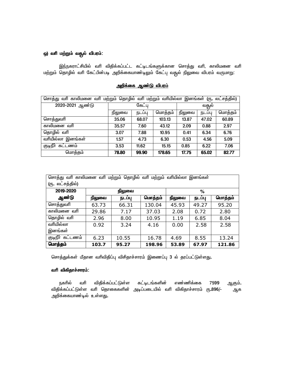## **ஒ) வரி மற்றும் வதூல் விபரம்:**

இந்நகராட்சியில் வரி விதிக்கப்பட்ட கட்டிடங்களுக்கான சொத்து வரி, காலிமனை வரி மற்றும் தொழில் வரி கேட்பின்படி அறிக்கையாண்டிலும் கேட்பு வசூல் நிலுவை விபரம் வருமாறு:

| மற்றும் தொழில் வரி மற்றும் வரியில்லா இனங்கள் (ரு. லட்சத்தில்)<br>சொத்து வரி காலிமனை வரி |        |                                |        |       |        |         |
|-----------------------------------------------------------------------------------------|--------|--------------------------------|--------|-------|--------|---------|
| 2020-2021 ஆண்டு                                                                         | கேட்பு |                                |        | வதூல் |        |         |
|                                                                                         | நிலுவை | மொத்தம்<br>நடப்பு              |        |       | நடப்பு | மொத்தம் |
| சொத்துவரி                                                                               | 35.06  | 68.07                          | 103.13 | 13.87 | 47.02  | 60.89   |
| காலிமனை வரி                                                                             | 35.57  | 7.60                           | 43.12  | 2.09  | 0.88   | 2.97    |
| தொழில் வரி                                                                              | 3.07   | 7.88                           | 10.95  | 0.41  | 6.34   | 6.76    |
| வரியில்லா இனங்கள்                                                                       | 1.57   | 4.73                           | 6.30   | 0.53  | 4.56   | 5.09    |
| குடிநீா கட்டணம்                                                                         | 3.53   | 0.85<br>6.22<br>11.62<br>15.15 |        |       |        | 7.06    |
| மொத்தம்                                                                                 | 78.80  | 99.90                          | 178.65 | 17.75 | 65.02  | 82.77   |

# <u>அறிக்கை ஆண்டு விபரம்</u>

| சொத்து வரி காலிமனை வரி மற்றும் தொழில் வரி<br>மற்றும்<br>வாியில்லா இனங்கள் |        |        |         |        |        |         |  |
|---------------------------------------------------------------------------|--------|--------|---------|--------|--------|---------|--|
| (ரு. லட்சத்தில்)                                                          |        |        |         |        |        |         |  |
| 2019-2020                                                                 |        | நிலுவை |         |        | %      |         |  |
| ஆண்டு                                                                     | நிலுவை | நடப்பு | மொத்தம் | நிலுவை | நடப்பு | மொத்தம் |  |
| சொத்துவரி                                                                 | 63.73  | 66.31  | 130.04  | 45.93  | 49.27  | 95.20   |  |
| காலிமனை வரி                                                               | 29.86  | 7.17   | 37.03   | 2.08   | 0.72   | 2.80    |  |
| தொழில் வரி                                                                | 2.96   | 8.00   | 10.95   | 1.19   | 6.85   | 8.04    |  |
| வரியில்லா                                                                 | 0.92   | 3.24   | 4.16    | 0.00   | 2.58   | 2.58    |  |
| இனங்கள்                                                                   |        |        |         |        |        |         |  |
| குடிநீா் கட்டணம்                                                          | 6.23   | 10.55  | 16.78   | 4.69   | 8.55   | 13.24   |  |
| மொத்தம்                                                                   | 103.7  | 95.27  | 198.96  | 53.89  | 67.97  | 121.86  |  |

சொத்துக்கள் மீதான வரிவிதிப்பு விசிதாச்சாரம் இணைப்பு 3 ல் தரப்பட்டுள்ளது**.** 

## **வரி விகிதாச்சாரம்:**

நகரில் வரி விதிக்கப்பட்டுள்ள கட்டிடங்களின் எண்ணிக்கை 7599 <u>ஆகு</u>ம்**.** விதிக்கப்பட்டுள்ள வரி தொகைகளின் அடிப்படையில் வரி விகிதாச்சாரம் ரு**.**896/- ஆக அறிக்கையாண்டில் உள்ளது.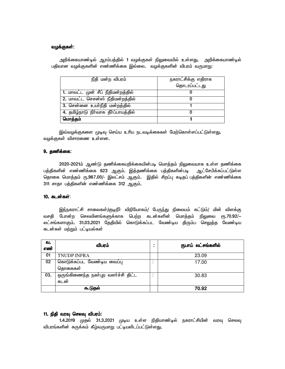#### வழக்குகள்:

| நீதி மன்ற விபரம்                     | நகராட்சிக்கு எதிராக |
|--------------------------------------|---------------------|
|                                      | தொடரப்பட்டது        |
| 1. மாவட்ட முன் சீப் நீதிமன்றத்தில்   |                     |
| 2. மாவட்ட செசன்ஸ் நீதிமன்றத்தில்     |                     |
| 3. சென்னை உயர்நீதி மன்றத்தில்        |                     |
| 4. தமிழ்நாடு நிா்வாக தீா்ப்பாயத்தில் |                     |
| மொத்தம்                              |                     |

அறிக்கையாண்டில் ஆரம்பத்தில் 1 வழக்குகள் நிலுவையில் உள்ளது. அறிக்கையாண்டில் பதிவான வழக்குகளின் எண்ணிக்கை இல்லை. வழக்குகளின் விபரம் வருமாறு:

இவ்வழக்குகளை முடிவு செய்ய உரிய நடவடிக்கைகள் மேற்கொள்ளப்பட்டுள்ளது. வழக்குகள் விசாரணை உள்ளன.

## **9. தணிக்கை:**

2020-2021ம் ஆண்டு தணிக்கையறிக்கையின்படி மொத்தம் நிலுவையாக உள்ள தணிக்கை பத்திகளின் எண்ணிக்கை 623 ஆகும். இத்தணிக்கை பத்திகளின்படி ஆட்சேபிக்கப்பட்டுள்ள தொகை மொத்தம் ரு.967.00/- இலட்சம் ஆகும். இதில் சிறப்பு கடிதப் பத்திகளின் எண்ணிக்கை 311 சாதா பத்திகளின் எண்ணிக்கை 312 ஆகும்.

#### 10. கடன்கள்:

இந்நகராட்சி சாலைகள்/குடிநீா் விநியோகம்/ பேருந்து நிலையம் கட்டும்/ மின் விளக்கு *trjp Bghd;w brytpdA;fSf;fhf bgw;w fld;fspd; bkhj;jk; epYit* %.70.92/- லட்சங்களாகும். 31.03.2021 தேதியில் கொடுக்கப்பட வேண்டிய திரும்ப செலுத்த வேண்டிய *fld;fs; kw;Wk; gl;oay;fs;* 

| வ.<br>எண் | விபரம்                                     |        | ரூபாய் லட்சங்களில் |
|-----------|--------------------------------------------|--------|--------------------|
| 01        | <b>TNUDP INFRA</b>                         |        | 23.09              |
| 02        | கொடுக்கப்பட வேண்டிய வைப்பு<br>தொகைகள்      | ٠<br>٠ | 17.00              |
| 03.       | ஒருங்கிணைந்த நகா்புற வளா்ச்சி திட்ட<br>கடன | ۰      | 30.83              |
|           | கூடுதல்                                    |        | 70.92              |

### 11. நிதி வரவு செலவு விபரம்:

1.4.2019 முதல் 31.3.2021 முடிய உள்ள நிதியாண்டில் நகராட்சியின் வரவு செலவு விபரங்களின் சுருக்கம் கீழ்வருமாறு பட்டியலிடப்பட்டுள்ளது**.**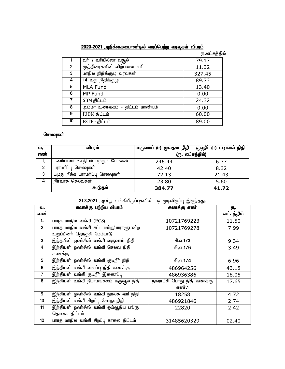|                | <u>2020-2021 அறிக்கையைாண்டில் வரப்பெற்ற வரவுகள் விபரம்</u> |               |
|----------------|------------------------------------------------------------|---------------|
|                |                                                            | ரு லட்சத்தில் |
|                | வரியில்லா வதூல்<br>வரி /                                   | 79.17         |
| $\overline{2}$ | முத்திரைகளின் விற்பனை வரி                                  | 11.32         |
| 3              | மாநில நிதிக்குழு வரவுகள்                                   | 327.45        |
| 4              | 14 வது நிதிக்குழு                                          | 89.73         |
| 5              | <b>MLA Fund</b>                                            | 13.40         |
| 6              | MP Fund                                                    | 0.00          |
| $\overline{7}$ | SBM திட்டம்                                                | 24.32         |
| 8              | அம்மா உணவகம் - திட்டம் மானியம்                             | 0.00          |
| 9              | IUDM திட்டம்                                               | 60.00         |
| 10             | FSTP - திட்டம்                                             | 89.00         |

# <u>2020-2021 அறிக்கையைாண்டில் வரப்பெற்ற வரவுகள் விபரம்</u>

# கெலவுகள்

| வ.  | விபரம்                          | வருவாய் (ம) மூலதன நிதி | குடிநீா் (ம) வடிகால் நிதி |  |
|-----|---------------------------------|------------------------|---------------------------|--|
| எண் |                                 | (ரு. லட்சத்தில்)       |                           |  |
| 1.  | பணியாளா் ஊதியம் மற்றும் போனஸ்   | 246.44                 | 6.37                      |  |
| 2   | பராமாிப்பு செலவுகள்             | 42.40                  | 8.32                      |  |
| 3   | பழுது நீக்க பராமாிப்பு செலவுகள் | 72.13                  | 21.43                     |  |
| 4   | நிா்வாக செலவுகள்                | 23.80                  | 5.60                      |  |
|     | கூடுதல்                         | 384.77                 | 41.72                     |  |

# 31.3.2021 அன்று வங்கியிருப்புகளின் படி முடிவிருப்பு இருந்தது**.**

| வ.              |                                               | கணக்கு பற்றிய விபரம்<br>கணக்கு எண் |            |
|-----------------|-----------------------------------------------|------------------------------------|------------|
| எண்             |                                               |                                    | லட்சத்தில் |
| 1.              | பாரத மாநில வங்கி (ECS)                        | 10721769223                        | 11.50      |
| 2 <sup>1</sup>  | பாரத மாநில வங்கி சட்டமன்ற/பாராளுமன்ற          | 10721769278                        | 7.99       |
|                 | உறுப்பினா் தொகுதி மேம்பாடு                    |                                    |            |
| 3               | <u>இந்தயின் ஓவா்சீஸ் வங்கி வருவாய் நிதி</u>   | சி.எ.173                           | 9.34       |
| 4               | இந்தியன் ஓவா்சீஸ் வங்கி செலவு நிதி            | சி.எ.176                           | 3.49       |
|                 | கணக்கு                                        |                                    |            |
| 5               | இந்தியன் ஓவா்சீஸ் வங்கி குடிநீா் நிதி         | சி.எ.174                           | 6.96       |
| 6               | இந்தியன் வங்கி வைப்பு நிதி கணக்கு             | 486964256                          | 43.18      |
| $\overline{7}$  | இந்தியன் வங்கி குடிநீா் இணைப்பு               | 486936386                          | 18.05      |
| 8               | <u>இந்தியன் வங்கி நீடாமங்கலம் கருவூல நிதி</u> | நகராட்சி பொது நிதி கணக்கு          | 17.65      |
|                 |                                               | எண்.1                              |            |
| 9               | இந்தியன் ஓவா்சீஸ் வங்கி நுாலக வாி நிதி        | 18258                              | 4.72       |
| 10 <sup>1</sup> | இந்தியன் வங்கி சிறப்பு சேமநலநிதி              | 486921846                          | 2.74       |
| 11              | இந்தியன் ஒவா்சீஸ் வங்கி ஓய்வூதிய பங்கு        | 22820                              | 2.42       |
|                 | தொகை திட்டம்                                  |                                    |            |
| 12              | பாரத மாநில வங்கி சிறப்பு சாலை திட்டம்         | 31485620329                        | 02.40      |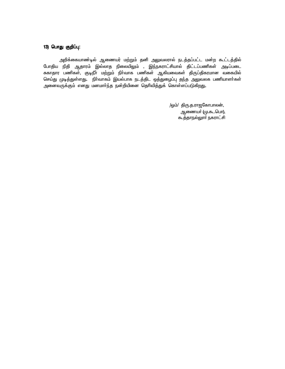## 13) பொது குறிப்பு:<br>-

அறிக்கையாண்டில் ஆணையர் மற்றும் தனி அலுவலரால் நடத்தப்பட்ட மன்ற கூட்டத்தில் *Bghjpa epjp Mjhuk; ny;yhj epiyapY*« *, ne;efuhl;rpahy; jpl;lg;gzpfs; mog;gil*  ்<br>சுகாதார பணிகள், குடிநீா மற்றும் நிா்வாக பணிகள் ஆகியவைகள் திருப்திகரமான வகையில் செய்து முடித்துள்ளது. நிர்வாகம் இயல்பாக நடத்திட ஒத்துழைப்பு தந்த அலுவலக பணியாளர்கள் அனைவருக்கும் எனது மனமாா்ந்த நன்றியினை தொிவித்துக் கொள்ளப்படுகிறது**.** 

> /ஒம்/ திரு.த.ராஜகோபாலன், ஆணையா் (மு.கூ.பொ), கூத்தாநல்லூா் நகராட்சி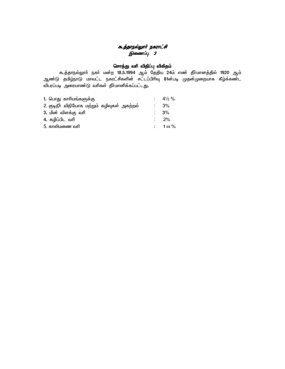# க<u>ூ.த்தாநல்லுார் நகராட்</u>சி இணைப்பு *3*

# &சாத்து வரி விதிப்பு விகிதம்

கூத்தாநல்லுாா் நகா் மன்ற 18**.5.1994 ஆம் தேதிய 24ம் எண் தீாமானத்தில்** 1920 ஆம் ஆண்டு தமிழ்நாடு மாவடட நகரடசிகளின சடடபபிரிவு 81னபடி முதனமுறையாக கீழ்க்கண்ட விபரப்படி அரையாண்டு வரிகள் தீாமானிக்கப்பட்டது**.** 

| 1. பொது காரியங்களுக்கு                       | $\therefore$ 41/ <sub>2</sub> % |
|----------------------------------------------|---------------------------------|
| 2. குடிநீா் விநியோக மற்றும் கழிவுகள் அகற்றல் | 3%                              |
| 3. மின் விளக்கு வரி                          | $\therefore$ 3%                 |
| 4. கழிப்பிட வரி                              | $\therefore$ 2%                 |
| 5. காலிமணை வரி                               | $: 11/4 \%$                     |